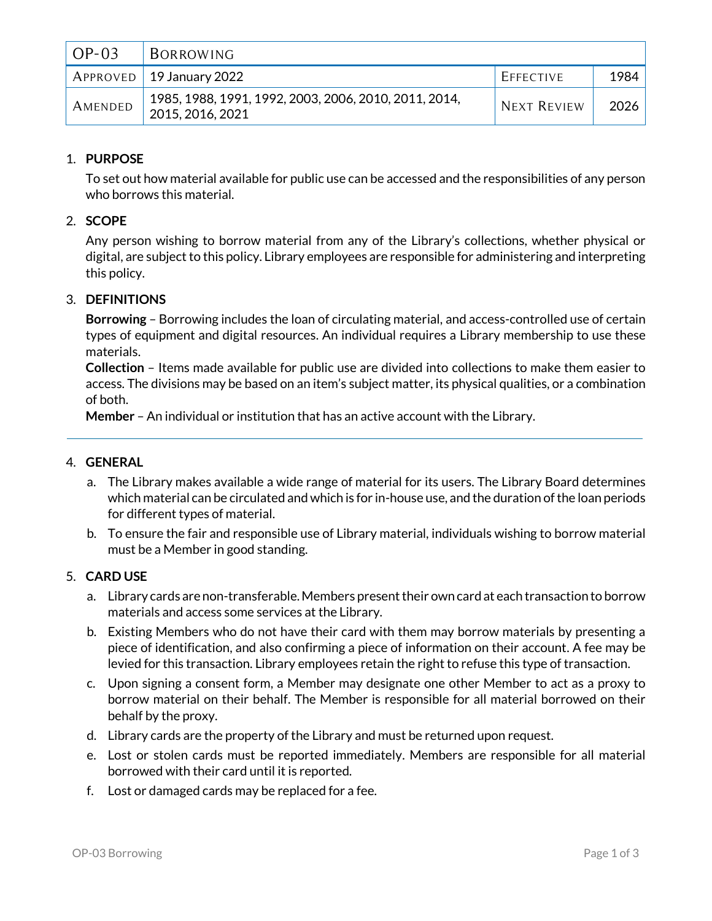| $OP-03$ | BORROWING                                                                 |                    |        |
|---------|---------------------------------------------------------------------------|--------------------|--------|
|         | $APPROVED$ 19 January 2022                                                | EFFECTIVE          | 1984   |
| AMENDED | 1985, 1988, 1991, 1992, 2003, 2006, 2010, 2011, 2014,<br>2015, 2016, 2021 | <b>NEXT REVIEW</b> | 2026 l |

# 1. **PURPOSE**

To set out how material available for public use can be accessed and the responsibilities of any person who borrows this material.

### 2. **SCOPE**

Any person wishing to borrow material from any of the Library's collections, whether physical or digital, are subject to this policy. Library employees are responsible for administering and interpreting this policy.

### 3. **DEFINITIONS**

**Borrowing** – Borrowing includes the loan of circulating material, and access-controlled use of certain types of equipment and digital resources. An individual requires a Library membership to use these materials.

**Collection** – Items made available for public use are divided into collections to make them easier to access. The divisions may be based on an item's subject matter, its physical qualities, or a combination of both.

**Member** – An individual or institution that has an active account with the Library.

### 4. **GENERAL**

- a. The Library makes available a wide range of material for its users. The Library Board determines which material can be circulated and which is for in-house use, and the duration of the loan periods for different types of material.
- b. To ensure the fair and responsible use of Library material, individuals wishing to borrow material must be a Member in good standing.

### 5. **CARD USE**

- a. Library cards are non-transferable. Members present their own card at each transaction to borrow materials and access some services at the Library.
- b. Existing Members who do not have their card with them may borrow materials by presenting a piece of identification, and also confirming a piece of information on their account. A fee may be levied for this transaction. Library employees retain the right to refuse this type of transaction.
- c. Upon signing a consent form, a Member may designate one other Member to act as a proxy to borrow material on their behalf. The Member is responsible for all material borrowed on their behalf by the proxy.
- d. Library cards are the property of the Library and must be returned upon request.
- e. Lost or stolen cards must be reported immediately. Members are responsible for all material borrowed with their card until it is reported.
- f. Lost or damaged cards may be replaced for a fee.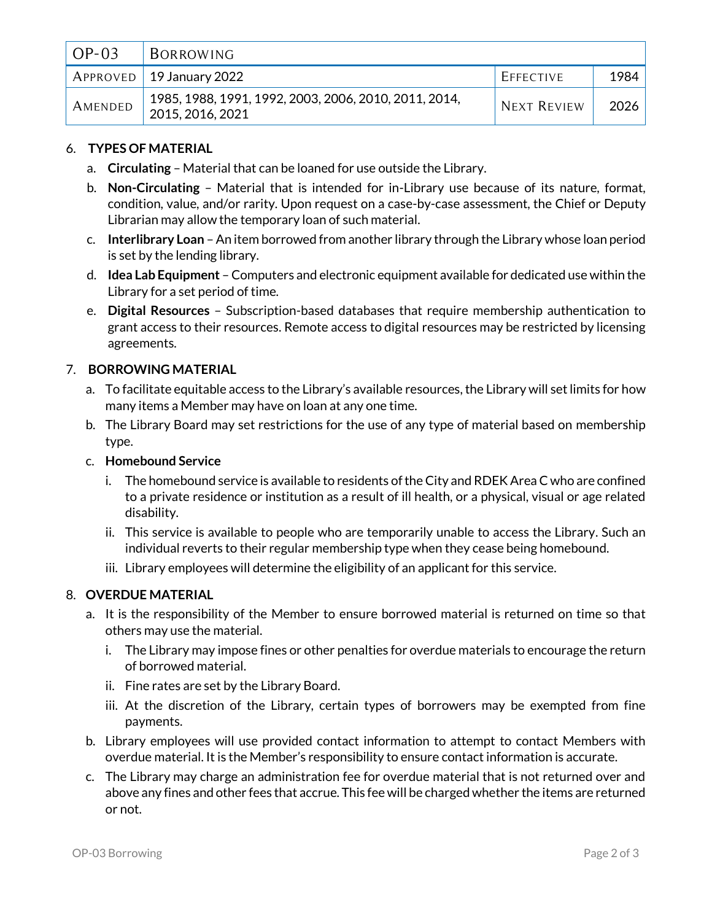| $OP-03$ | BORROWING                                                                 |                    |        |
|---------|---------------------------------------------------------------------------|--------------------|--------|
|         | $APPROVED$ 19 January 2022                                                | EFFECTIVE          | 1984   |
| AMENDED | 1985, 1988, 1991, 1992, 2003, 2006, 2010, 2011, 2014,<br>2015, 2016, 2021 | <b>NEXT REVIEW</b> | 2026 l |

## 6. **TYPES OF MATERIAL**

- a. **Circulating** Material that can be loaned for use outside the Library.
- b. **Non-Circulating** Material that is intended for in-Library use because of its nature, format, condition, value, and/or rarity. Upon request on a case-by-case assessment, the Chief or Deputy Librarian may allow the temporary loan of such material.
- c. **Interlibrary Loan** –An item borrowed from another library through the Library whose loan period is set by the lending library.
- d. **Idea Lab Equipment** Computers and electronic equipment available for dedicated use within the Library for a set period of time.
- e. **Digital Resources** Subscription-based databases that require membership authentication to grant access to their resources. Remote access to digital resources may be restricted by licensing agreements.

### 7. **BORROWING MATERIAL**

- a. To facilitate equitable access to the Library's available resources, the Library will set limits for how many items a Member may have on loan at any one time.
- b. The Library Board may set restrictions for the use of any type of material based on membership type.

#### c. **Homebound Service**

- i. The homebound service is available to residents of the City and RDEK Area C who are confined to a private residence or institution as a result of ill health, or a physical, visual or age related disability.
- ii. This service is available to people who are temporarily unable to access the Library. Such an individual reverts to their regular membership type when they cease being homebound.
- iii. Library employees will determine the eligibility of an applicant for this service.

### 8. **OVERDUE MATERIAL**

- a. It is the responsibility of the Member to ensure borrowed material is returned on time so that others may use the material.
	- i. The Library may impose fines or other penalties for overdue materials to encourage the return of borrowed material.
	- ii. Fine rates are set by the Library Board.
	- iii. At the discretion of the Library, certain types of borrowers may be exempted from fine payments.
- b. Library employees will use provided contact information to attempt to contact Members with overdue material. It is the Member's responsibility to ensure contact information is accurate.
- c. The Library may charge an administration fee for overdue material that is not returned over and above any fines and other fees that accrue. This fee will be charged whether the items are returned or not.